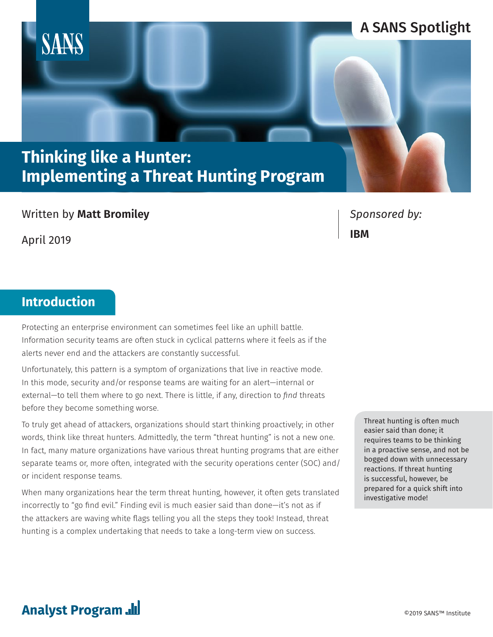

### Written by **Matt Bromiley**

April 2019

*Sponsored by:* **IBM**

# **Introduction**

Protecting an enterprise environment can sometimes feel like an uphill battle. Information security teams are often stuck in cyclical patterns where it feels as if the alerts never end and the attackers are constantly successful.

Unfortunately, this pattern is a symptom of organizations that live in reactive mode. In this mode, security and/or response teams are waiting for an alert—internal or external—to tell them where to go next. There is little, if any, direction to *find* threats before they become something worse.

To truly get ahead of attackers, organizations should start thinking proactively; in other words, think like threat hunters. Admittedly, the term "threat hunting" is not a new one. In fact, many mature organizations have various threat hunting programs that are either separate teams or, more often, integrated with the security operations center (SOC) and/ or incident response teams.

When many organizations hear the term threat hunting, however, it often gets translated incorrectly to "go find evil." Finding evil is much easier said than done—it's not as if the attackers are waving white flags telling you all the steps they took! Instead, threat hunting is a complex undertaking that needs to take a long-term view on success.

Threat hunting is often much easier said than done; it requires teams to be thinking in a proactive sense, and not be bogged down with unnecessary reactions. If threat hunting is successful, however, be prepared for a quick shift into investigative mode!

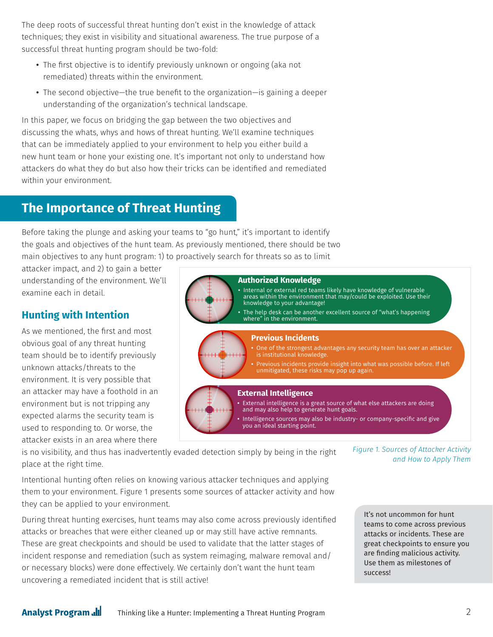The deep roots of successful threat hunting don't exist in the knowledge of attack techniques; they exist in visibility and situational awareness. The true purpose of a successful threat hunting program should be two-fold:

- The first objective is to identify previously unknown or ongoing (aka not remediated) threats within the environment.
- The second objective—the true benefit to the organization—is gaining a deeper understanding of the organization's technical landscape.

In this paper, we focus on bridging the gap between the two objectives and discussing the whats, whys and hows of threat hunting. We'll examine techniques that can be immediately applied to your environment to help you either build a new hunt team or hone your existing one. It's important not only to understand how attackers do what they do but also how their tricks can be identified and remediated within your environment.

# **The Importance of Threat Hunting**

Before taking the plunge and asking your teams to "go hunt," it's important to identify the goals and objectives of the hunt team. As previously mentioned, there should be two main objectives to any hunt program: 1) to proactively search for threats so as to limit

attacker impact, and 2) to gain a better understanding of the environment. We'll examine each in detail.

## **Hunting with Intention**

As we mentioned, the first and most obvious goal of any threat hunting team should be to identify previously unknown attacks/threats to the environment. It is very possible that an attacker may have a foothold in an environment but is not tripping any expected alarms the security team is used to responding to. Or worse, the attacker exists in an area where there



is no visibility, and thus has inadvertently evaded detection simply by being in the right place at the right time.

Intentional hunting often relies on knowing various attacker techniques and applying them to your environment. Figure 1 presents some sources of attacker activity and how they can be applied to your environment.

During threat hunting exercises, hunt teams may also come across previously identified attacks or breaches that were either cleaned up or may still have active remnants. These are great checkpoints and should be used to validate that the latter stages of incident response and remediation (such as system reimaging, malware removal and/ or necessary blocks) were done effectively. We certainly don't want the hunt team uncovering a remediated incident that is still active!

*Figure 1. Sources of Attacker Activity and How to Apply Them*

It's not uncommon for hunt teams to come across previous attacks or incidents. These are great checkpoints to ensure you are finding malicious activity. Use them as milestones of success!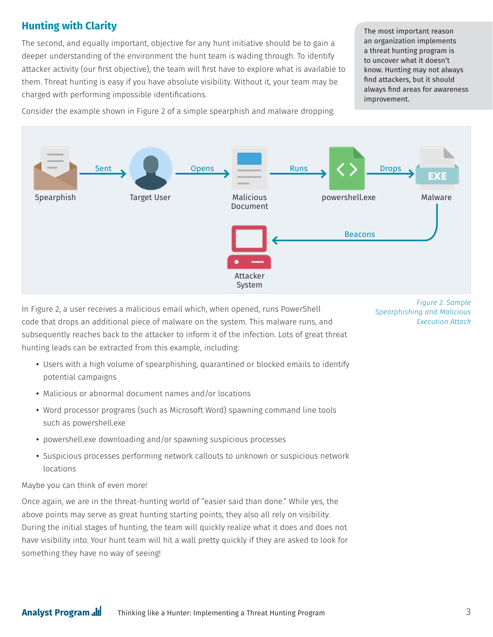## **Hunting with Clarity**

The second, and equally important, objective for any hunt initiative should be to gain a deeper understanding of the environment the hunt team is wading through. To identify attacker activity (our first objective), the team will first have to explore what is available to them. Threat hunting is easy if you have absolute visibility. Without it, your team may be charged with performing impossible identifications.

The most important reason an organization implements a threat hunting program is to uncover what it doesn't know. Hunting may not always find attackers, but it should always find areas for awareness improvement.

Consider the example shown in Figure 2 of a simple spearphish and malware dropping.



In Figure 2, a user receives a malicious email which, when opened, runs PowerShell code that drops an additional piece of malware on the system. This malware runs, and subsequently reaches back to the attacker to inform it of the infection. Lots of great threat hunting leads can be extracted from this example, including:

- Users with a high volume of spearphishing, quarantined or blocked emails to identify potential campaigns
- Malicious or abnormal document names and/or locations
- Word processor programs (such as Microsoft Word) spawning command line tools such as powershell.exe
- powershell.exe downloading and/or spawning suspicious processes
- Suspicious processes performing network callouts to unknown or suspicious network locations

Maybe you can think of even more!

Once again, we are in the threat-hunting world of "easier said than done." While yes, the above points may serve as great hunting starting points, they also all rely on visibility. During the initial stages of hunting, the team will quickly realize what it does and does not have visibility into. Your hunt team will hit a wall pretty quickly if they are asked to look for something they have no way of seeing!

*Figure 2. Sample Spearphishing and Malicious Execution Attack*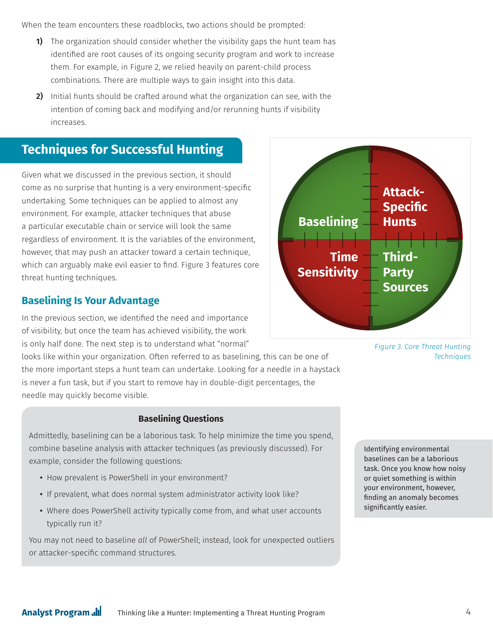When the team encounters these roadblocks, two actions should be prompted:

- **1)** The organization should consider whether the visibility gaps the hunt team has identified are root causes of its ongoing security program and work to increase them. For example, in Figure 2, we relied heavily on parent-child process combinations. There are multiple ways to gain insight into this data.
- **2)** Initial hunts should be crafted around what the organization can see, with the intention of coming back and modifying and/or rerunning hunts if visibility increases.

# **Techniques for Successful Hunting**

Given what we discussed in the previous section, it should come as no surprise that hunting is a very environment-specific undertaking. Some techniques can be applied to almost any environment. For example, attacker techniques that abuse a particular executable chain or service will look the same regardless of environment. It is the variables of the environment, however, that may push an attacker toward a certain technique, which can arguably make evil easier to find. Figure 3 features core threat hunting techniques.

### **Baselining Is Your Advantage**

In the previous section, we identified the need and importance of visibility, but once the team has achieved visibility, the work is only half done. The next step is to understand what "normal"

looks like within your organization. Often referred to as baselining, this can be one of the more important steps a hunt team can undertake. Looking for a needle in a haystack is never a fun task, but if you start to remove hay in double-digit percentages, the needle may quickly become visible.

#### **Baselining Questions**

Admittedly, baselining can be a laborious task. To help minimize the time you spend, combine baseline analysis with attacker techniques (as previously discussed). For example, consider the following questions:

- How prevalent is PowerShell in your environment?
- If prevalent, what does normal system administrator activity look like?
- Where does PowerShell activity typically come from, and what user accounts typically run it?

You may not need to baseline *all* of PowerShell; instead, look for unexpected outliers or attacker-specific command structures.





Identifying environmental baselines can be a laborious task. Once you know how noisy or quiet something is within your environment, however, finding an anomaly becomes significantly easier.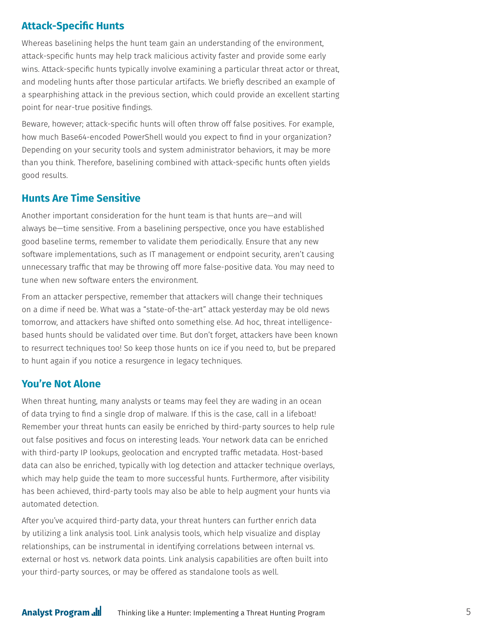### **Attack-Specific Hunts**

Whereas baselining helps the hunt team gain an understanding of the environment, attack-specific hunts may help track malicious activity faster and provide some early wins. Attack-specific hunts typically involve examining a particular threat actor or threat, and modeling hunts after those particular artifacts. We briefly described an example of a spearphishing attack in the previous section, which could provide an excellent starting point for near-true positive findings.

Beware, however; attack-specific hunts will often throw off false positives. For example, how much Base64-encoded PowerShell would you expect to find in your organization? Depending on your security tools and system administrator behaviors, it may be more than you think. Therefore, baselining combined with attack-specific hunts often yields good results.

### **Hunts Are Time Sensitive**

Another important consideration for the hunt team is that hunts are—and will always be—time sensitive. From a baselining perspective, once you have established good baseline terms, remember to validate them periodically. Ensure that any new software implementations, such as IT management or endpoint security, aren't causing unnecessary traffic that may be throwing off more false-positive data. You may need to tune when new software enters the environment.

From an attacker perspective, remember that attackers will change their techniques on a dime if need be. What was a "state-of-the-art" attack yesterday may be old news tomorrow, and attackers have shifted onto something else. Ad hoc, threat intelligencebased hunts should be validated over time. But don't forget, attackers have been known to resurrect techniques too! So keep those hunts on ice if you need to, but be prepared to hunt again if you notice a resurgence in legacy techniques.

#### **You're Not Alone**

When threat hunting, many analysts or teams may feel they are wading in an ocean of data trying to find a single drop of malware. If this is the case, call in a lifeboat! Remember your threat hunts can easily be enriched by third-party sources to help rule out false positives and focus on interesting leads. Your network data can be enriched with third-party IP lookups, geolocation and encrypted traffic metadata. Host-based data can also be enriched, typically with log detection and attacker technique overlays, which may help guide the team to more successful hunts. Furthermore, after visibility has been achieved, third-party tools may also be able to help augment your hunts via automated detection.

After you've acquired third-party data, your threat hunters can further enrich data by utilizing a link analysis tool. Link analysis tools, which help visualize and display relationships, can be instrumental in identifying correlations between internal vs. external or host vs. network data points. Link analysis capabilities are often built into your third-party sources, or may be offered as standalone tools as well.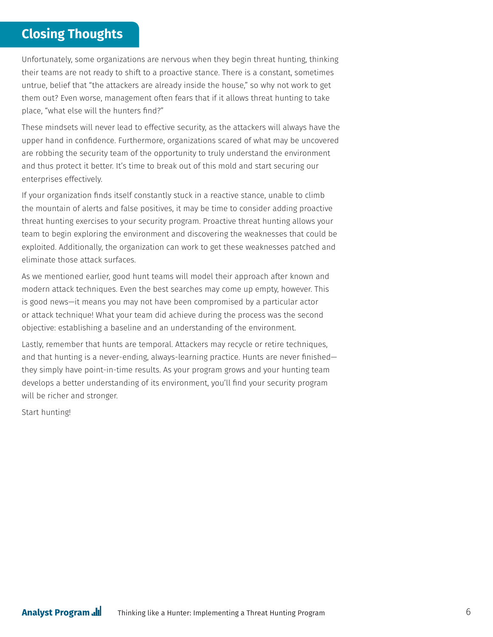# **Closing Thoughts**

Unfortunately, some organizations are nervous when they begin threat hunting, thinking their teams are not ready to shift to a proactive stance. There is a constant, sometimes untrue, belief that "the attackers are already inside the house," so why not work to get them out? Even worse, management often fears that if it allows threat hunting to take place, "what else will the hunters find?"

These mindsets will never lead to effective security, as the attackers will always have the upper hand in confidence. Furthermore, organizations scared of what may be uncovered are robbing the security team of the opportunity to truly understand the environment and thus protect it better. It's time to break out of this mold and start securing our enterprises effectively.

If your organization finds itself constantly stuck in a reactive stance, unable to climb the mountain of alerts and false positives, it may be time to consider adding proactive threat hunting exercises to your security program. Proactive threat hunting allows your team to begin exploring the environment and discovering the weaknesses that could be exploited. Additionally, the organization can work to get these weaknesses patched and eliminate those attack surfaces.

As we mentioned earlier, good hunt teams will model their approach after known and modern attack techniques. Even the best searches may come up empty, however. This is good news—it means you may not have been compromised by a particular actor or attack technique! What your team did achieve during the process was the second objective: establishing a baseline and an understanding of the environment.

Lastly, remember that hunts are temporal. Attackers may recycle or retire techniques, and that hunting is a never-ending, always-learning practice. Hunts are never finished they simply have point-in-time results. As your program grows and your hunting team develops a better understanding of its environment, you'll find your security program will be richer and stronger.

Start hunting!